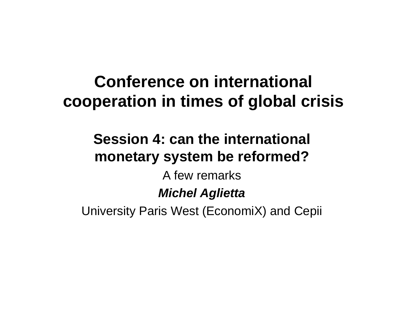# **Conference on international cooperati i ti f l b l i i tion in times o f glo al crisis**

# **Session 4: can the international monetary system be reformed?**

A few remarks

## *Michel Aglietta*

University Paris West (EconomiX) and Cepii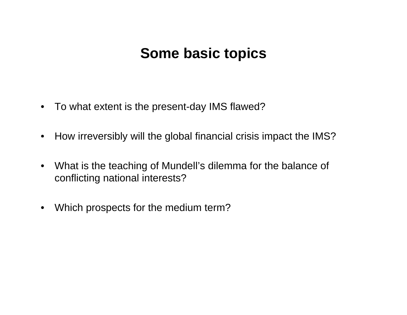## **Some basic topics**

- To what extent is the present-day IMS flawed?  $\bullet$
- How irreversibly will the global financial crisis impact the IMS?  $\bullet$
- What is the teaching of Mundell's dilemma for the balance of  $\bullet$ conflicting national interests?
- Which prospects for the medium term?  $\bullet$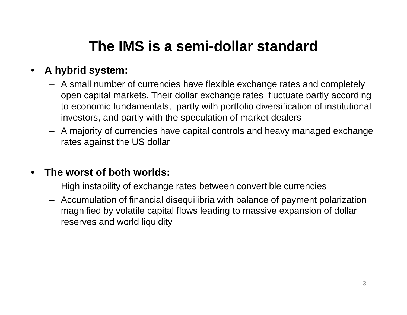# **The IMS is a semi-dollar standard**

### •**A hybrid system:**

- A small number of currencies have flexible exchange rates and completely open capital markets. Their dollar exchange rates fluctuate partly according to economic fundamentals, partly with portfolio diversification of institutional investors, and partly with the speculation of market dealers
- A majority of currencies have capital controls and heavy managed exchange rates against the US dolla r

#### •**The worst of both worlds:**

- High instability of exchange rates between convertible currencies
- Accumulation of financial disequilibria with balance of payment polarization magnified by volatile capital flows leading to massive expansion of dollar reserves and world liquidity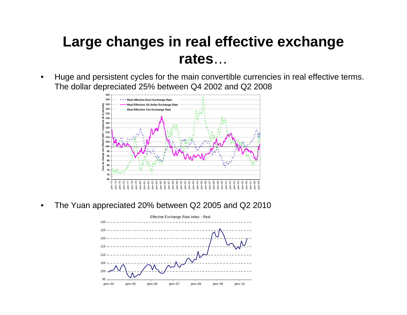## **Large changes in real effective exchange rates**…

• Huge and persistent cycles for the main convertible currencies in real effective terms. The dollar depreciated 25% between Q4 2002 and Q2 2008



•The Yuan appreciated 20% between Q2 2005 and Q2 2010

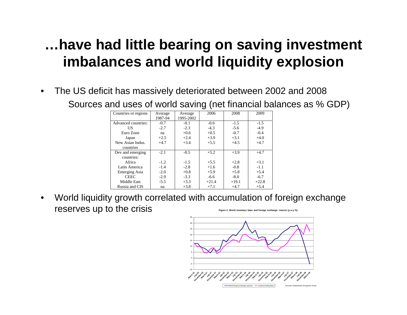## ...have had little bearing on saving investment imbalances and world liquidity explosion

The US deficit has massively deteriorated between 2002 and 2008  $\bullet$ Sources and uses of world saving (net financial balances as % GDP)

| Countries or regions | Average | Average   | 2006    | 2008    | 2009    |
|----------------------|---------|-----------|---------|---------|---------|
|                      | 1987-94 | 1995-2002 |         |         |         |
| Advanced countries:  | $-0.7$  | $-0.1$    | $-0.6$  | $-1.5$  | $-1.5$  |
| US                   | $-2.7$  | $-2.3$    | $-4.3$  | $-5.6$  | $-4.9$  |
| Euro Zone            | na      | $+0.6$    | $+0.5$  | $-0.7$  | $-0.4$  |
| Japan                | $+2.5$  | $+2.4$    | $+3.9$  | $+3.1$  | $+4.0$  |
| New Asian Indus.     | $+4.7$  | $+3.4$    | $+5.5$  | $+4.5$  | $+4.7$  |
| countries            |         |           |         |         |         |
| Dev and emerging     | $-2.1$  | $-0.5$    | $+5.2$  | $+3.9$  | $+4.7$  |
| countries:           |         |           |         |         |         |
| Africa               | $-1.2$  | $-1.5$    | $+5.5$  | $+2.8$  | $+3.1$  |
| Latin America        | $-1.4$  | $-2.8$    | $+1.6$  | $-0.8$  | $-1.1$  |
| <b>Emerging Asia</b> | $-2.0$  | $+0.8$    | $+5.9$  | $+5.8$  | $+5.4$  |
| <b>CEEC</b>          | $-2.9$  | $-3.3$    | $-6.6$  | $-8.0$  | $-6.7$  |
| Middle East          | $-5.5$  | $+3.3$    | $+21.4$ | $+19.1$ | $+22.8$ |
| Russia and CIS       | na      | $+3.8$    | $+7.1$  | $+4.7$  | $+5.4$  |

World liquidity growth correlated with accumulation of foreign exchange  $\bullet$ reserves up to the crisis Figure 2. World monetary base and foreign exchange reserve (y-

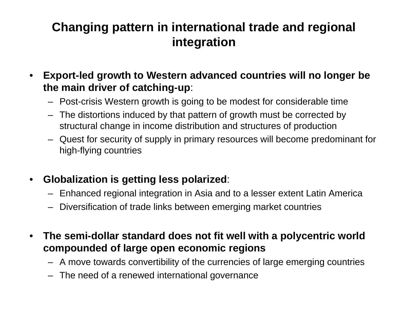### **Changing pattern in international trade and regional integration**

- $\bullet$  **Export-led growth to Western advanced countries will no longer be the main driver of catching-up**:
	- Post-crisis Western growth is going to be modest for considerable time
	- The distortions induced by that pattern of growth must be corrected by structural change in income distribution and structures of production
	- Quest for security of supply in primary resources will become predominant for high-flying countries
- $\bullet$  **Gl b li ti i tti l l i d o alization is getting less polarize** :
	- Enhanced regional integration in Asia and to a lesser extent Latin America
	- Diversification of trade links between emerging market countries
- $\bullet$  **The semi-dollar standard does not fit well with a polycentric world compounded of large open economic regions**
	- A move towards convertibility of the currencies of large emerging countries
	- The need of a renewed international governance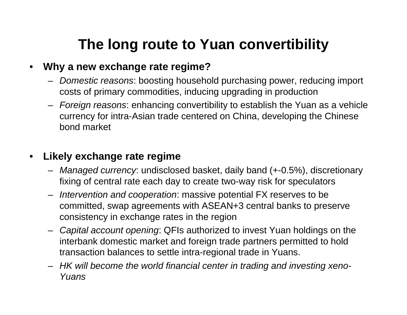# **The long route to Yuan convertibility**

### $\bullet$ **Why a new exchange rate regime?**

- *Domestic reasons*: boosting household purchasing power, reducing import costs of primary commodities, inducing upgrading in production
- *Foreign reasons*: enhancing convertibility to establish the Yuan as a vehicle currency for intra-Asian trade centered on China, developing the Chinese bond market

### $\bullet$ **Likely exchange rate regime**

- *Managed currency*: undisclosed basket, daily band (+-0.5%), discretionary fixing of central rate each day to create two-way risk for speculators
- *Intervention and cooperation*: massive potential FX reserves to be committed, swap agreements with ASEAN+3 central banks to preserve consistency in exchange rates in the region
- *Capital account opening*: QFIs authorized to invest Yuan holdings on the interbank domestic market and foreign trade partners permitted to hold transaction balances to settle intra-re gional trade in Yuans.
- *HK will become the world financial center in trading and investing xeno-Yuans*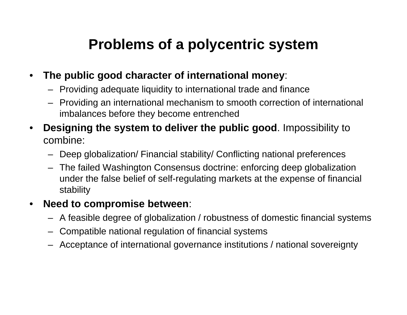# **Problems of a polycentric system**

- $\bullet$  **The public good character of international money**:
	- Providing adequate liquidity to international trade and finance
	- Providing an international mechanism to smooth correction of international imbalances before they become entrenched
- • **Designing the system to deliver the public good**. Impossibility to combine:
	- Deep globalization/ Financial stability/ Conflicting national preferences
	- The failed Washington Consensus doctrine: enforcing deep globalization under the false belief of self-regulating markets at the expense of financial stability

#### $\bullet$ **Need to compromise between**:

- $-$  A feasible degree of globalization / robustness of domestic financial systems
- Compatible national regulation of financial systems
- Acceptance of international governance institutions / national sovereignty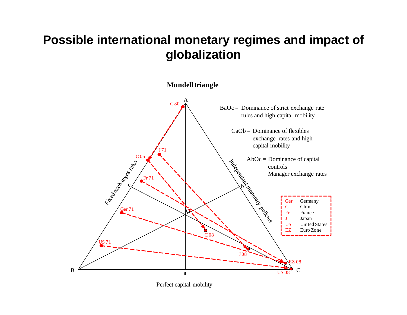### **Possible international monetary regimes and impact of globalization**

**Mundell triangle** A  ${\rm C\,80}$ BaOc = Dominance of strict exchange rate rules and high capital mobility  $CaOb =$  Dominance of flexibles exchange rates and high capital mobility J 71C 05 AbOc = Dominance of capital controlsMana ger exchan g g ge rates <sup>F</sup> <sup>71</sup>Fr 71 With the Corporation of the Corporation of Germany of Germany of Germany of Germany of Germany of Germany  $c \times$  by  $\lambda$  b Ger Germany LASSES China C $Ger 71$ Ger 71O FranceFr Japan JUS United States EZ Euro Zone C 08US 71 J 08EZ 08B  $\mathsf{C}% _{M_{1},M_{2}}^{\alpha,\beta}$ US 08a

Perfect capital mobility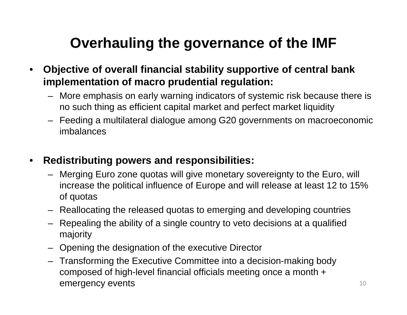# **Overhauling the governance of the IMF**

- • **Objective of overall financial stability supportive of central bank implementation of macro prudential regulation:**
	- More emphasis on early warning indicators of systemic risk because there is  $\,$ no such thing as efficient capital market and perfect market liquidity
	- Feeding a multilateral dialogue among G20 governments on macroeconomic imbalances

#### $\bullet$ **Redistributing powers and responsibilities:**

- Merging Euro zone quotas will give monetary sovereignty to the Euro, will increase the political influence of Europe and will release at least 12 to 15% of quotas
- Reallocating the released quotas to emerging and developing countries
- Repealing the ability of a single country to veto decisions at a qualified majority
- Opening the designation of the executive Director
- Transforming the Executive Committee into a decision-making body composed of high-level financial officials meeting once a month + emergency events